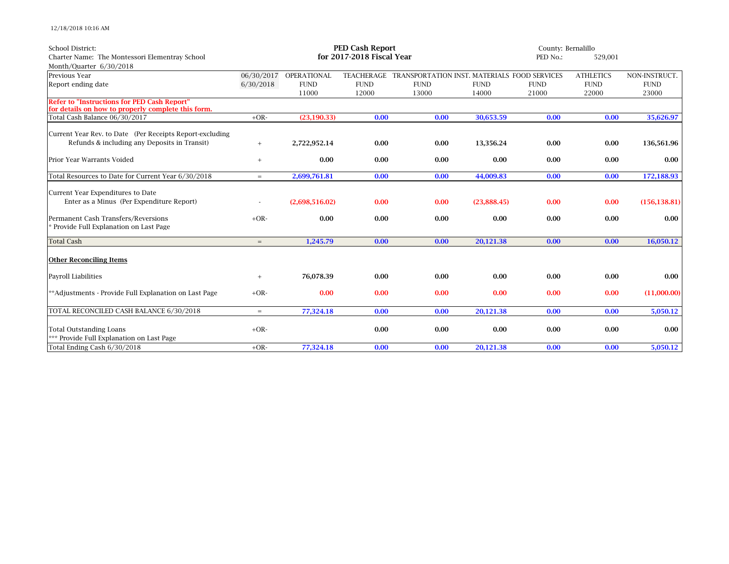12/18/2018 10:16 AM

| School District:                                                                                         | <b>PED Cash Report</b>    |                        |             |                                                         | County: Bernalillo |             |                  |               |
|----------------------------------------------------------------------------------------------------------|---------------------------|------------------------|-------------|---------------------------------------------------------|--------------------|-------------|------------------|---------------|
| Charter Name: The Montessori Elementray School                                                           | for 2017-2018 Fiscal Year |                        |             |                                                         |                    |             | 529,001          |               |
| Month/Quarter 6/30/2018                                                                                  |                           |                        |             |                                                         |                    |             |                  |               |
| Previous Year                                                                                            |                           | 06/30/2017 OPERATIONAL |             | TEACHERAGE TRANSPORTATION INST. MATERIALS FOOD SERVICES |                    |             | <b>ATHLETICS</b> | NON-INSTRUCT. |
| Report ending date                                                                                       | 6/30/2018                 | <b>FUND</b>            | <b>FUND</b> | <b>FUND</b>                                             | <b>FUND</b>        | <b>FUND</b> | <b>FUND</b>      | <b>FUND</b>   |
|                                                                                                          |                           | 11000                  | 12000       | 13000                                                   | 14000              | 21000       | 22000            | 23000         |
| <b>Refer to "Instructions for PED Cash Report"</b><br>for details on how to properly complete this form. |                           |                        |             |                                                         |                    |             |                  |               |
| Total Cash Balance 06/30/2017                                                                            | $+OR-$                    | (23, 190.33)           | 0.00        | 0.00                                                    | 30,653.59          | 0.00        | 0.00             | 35,626.97     |
| Current Year Rev. to Date (Per Receipts Report-excluding                                                 |                           |                        |             |                                                         |                    |             |                  |               |
| Refunds & including any Deposits in Transit)                                                             | $\qquad \qquad +$         | 2,722,952.14           | 0.00        | 0.00                                                    | 13.356.24          | 0.00        | 0.00             | 136,561.96    |
| Prior Year Warrants Voided                                                                               | $^{+}$                    | 0.00                   | 0.00        | 0.00                                                    | 0.00               | 0.00        | 0.00             | 0.00          |
| Total Resources to Date for Current Year 6/30/2018                                                       | $=$                       | 2,699,761.81           | 0.00        | 0.00                                                    | 44,009.83          | 0.00        | 0.00             | 172,188.93    |
| Current Year Expenditures to Date                                                                        |                           |                        |             |                                                         |                    |             |                  |               |
| Enter as a Minus (Per Expenditure Report)                                                                |                           | (2,698,516.02)         | 0.00        | 0.00                                                    | (23.888.45)        | 0.00        | 0.00             | (156, 138.81) |
| Permanent Cash Transfers/Reversions<br>* Provide Full Explanation on Last Page                           | $+OR-$                    | 0.00                   | 0.00        | 0.00                                                    | 0.00               | 0.00        | 0.00             | 0.00          |
| <b>Total Cash</b>                                                                                        | $=$                       | 1,245.79               | 0.00        | 0.00                                                    | 20,121.38          | 0.00        | 0.00             | 16,050.12     |
| <b>Other Reconciling Items</b>                                                                           |                           |                        |             |                                                         |                    |             |                  |               |
| <b>Payroll Liabilities</b>                                                                               | $^{+}$                    | 76,078.39              | 0.00        | 0.00                                                    | 0.00               | 0.00        | 0.00             | 0.00          |
| **Adjustments - Provide Full Explanation on Last Page                                                    | $+OR-$                    | 0.00                   | 0.00        | 0.00                                                    | 0.00               | 0.00        | 0.00             | (11,000.00)   |
| TOTAL RECONCILED CASH BALANCE 6/30/2018                                                                  | $=$                       | 77,324.18              | 0.00        | 0.00                                                    | 20,121.38          | 0.00        | 0.00             | 5,050.12      |
| <b>Total Outstanding Loans</b><br>*** Provide Full Explanation on Last Page                              | $+OR-$                    |                        | 0.00        | 0.00                                                    | 0.00               | 0.00        | 0.00             | 0.00          |
| Total Ending Cash 6/30/2018                                                                              | $+OR-$                    | 77,324.18              | 0.00        | 0.00                                                    | 20,121.38          | 0.00        | 0.00             | 5,050.12      |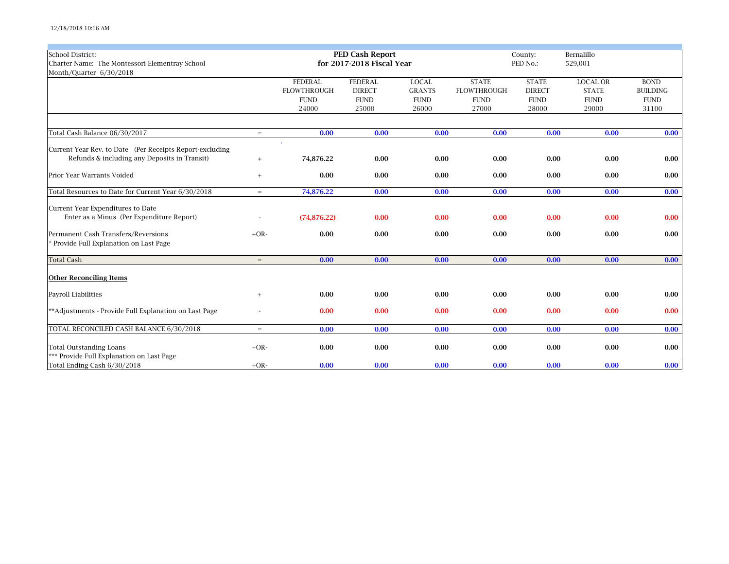12/18/2018 10:16 AM

| <b>School District:</b>                                  |                   | <b>PED Cash Report</b> |                           | County:       | Bernalillo         |               |                 |                 |
|----------------------------------------------------------|-------------------|------------------------|---------------------------|---------------|--------------------|---------------|-----------------|-----------------|
| Charter Name: The Montessori Elementray School           |                   |                        | for 2017-2018 Fiscal Year |               |                    | PED No.:      | 529,001         |                 |
| Month/Ouarter 6/30/2018                                  |                   |                        |                           |               |                    |               |                 |                 |
|                                                          |                   | <b>FEDERAL</b>         | <b>FEDERAL</b>            | <b>LOCAL</b>  | <b>STATE</b>       | <b>STATE</b>  | <b>LOCAL OR</b> | <b>BOND</b>     |
|                                                          |                   | <b>FLOWTHROUGH</b>     | <b>DIRECT</b>             | <b>GRANTS</b> | <b>FLOWTHROUGH</b> | <b>DIRECT</b> | <b>STATE</b>    | <b>BUILDING</b> |
|                                                          |                   | <b>FUND</b>            | <b>FUND</b>               | <b>FUND</b>   | <b>FUND</b>        | <b>FUND</b>   | <b>FUND</b>     | <b>FUND</b>     |
|                                                          |                   | 24000                  | 25000                     | 26000         | 27000              | 28000         | 29000           | 31100           |
|                                                          |                   |                        |                           |               |                    |               |                 |                 |
| Total Cash Balance 06/30/2017                            | $=$               | 0.00                   | 0.00                      | 0.00          | 0.00               | 0.00          | 0.00            | 0.00            |
| Current Year Rev. to Date (Per Receipts Report-excluding |                   |                        |                           |               |                    |               |                 |                 |
| Refunds & including any Deposits in Transit)             | $+$               | 74,876.22              | 0.00                      | 0.00          | 0.00               | 0.00          | 0.00            | 0.00            |
| Prior Year Warrants Voided                               | $^{+}$            | 0.00                   | 0.00                      | 0.00          | 0.00               | 0.00          | 0.00            | 0.00            |
| Total Resources to Date for Current Year 6/30/2018       | $=$               | 74,876.22              | 0.00                      | 0.00          | 0.00               | 0.00          | 0.00            | 0.00            |
| Current Year Expenditures to Date                        |                   |                        |                           |               |                    |               |                 |                 |
| Enter as a Minus (Per Expenditure Report)                |                   | (74, 876.22)           | 0.00                      | 0.00          | 0.00               | 0.00          | 0.00            | 0.00            |
| Permanent Cash Transfers/Reversions                      | $+OR-$            | 0.00                   | 0.00                      | 0.00          | 0.00               | 0.00          | 0.00            | 0.00            |
| Provide Full Explanation on Last Page                    |                   |                        |                           |               |                    |               |                 |                 |
| <b>Total Cash</b>                                        | $=$               | 0.00                   | 0.00                      | 0.00          | 0.00               | 0.00          | 0.00            | 0.00            |
| <b>Other Reconciling Items</b>                           |                   |                        |                           |               |                    |               |                 |                 |
| <b>Payroll Liabilities</b>                               | $\qquad \qquad +$ | 0.00                   | 0.00                      | 0.00          | 0.00               | 0.00          | 0.00            | 0.00            |
| **Adjustments - Provide Full Explanation on Last Page    |                   | 0.00                   | 0.00                      | 0.00          | 0.00               | 0.00          | 0.00            | 0.00            |
| TOTAL RECONCILED CASH BALANCE 6/30/2018                  | $=$               | 0.00                   | 0.00                      | 0.00          | 0.00               | 0.00          | 0.00            | 0.00            |
| <b>Total Outstanding Loans</b>                           | $+OR-$            | 0.00                   | 0.00                      | 0.00          | 0.00               | 0.00          | 0.00            | 0.00            |
| *** Provide Full Explanation on Last Page                |                   |                        |                           |               |                    |               |                 |                 |
| Total Ending Cash 6/30/2018                              | $+OR-$            | 0.00                   | 0.00                      | 0.00          | 0.00               | 0.00          | 0.00            | 0.00            |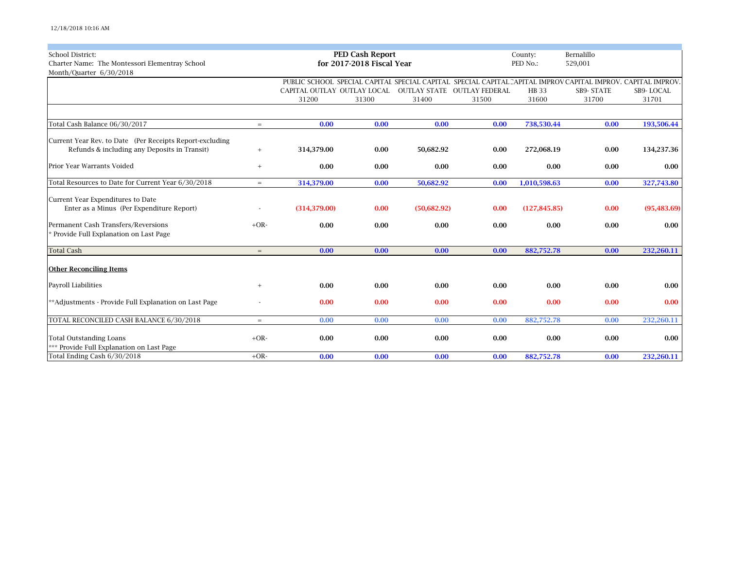| <b>School District:</b>                                  |        |                             | <b>PED Cash Report</b>    |             |                                                                                                              | County:       | Bernalillo |              |
|----------------------------------------------------------|--------|-----------------------------|---------------------------|-------------|--------------------------------------------------------------------------------------------------------------|---------------|------------|--------------|
| Charter Name: The Montessori Elementray School           |        |                             | for 2017-2018 Fiscal Year |             | PED No.:                                                                                                     | 529,001       |            |              |
| Month/Quarter 6/30/2018                                  |        |                             |                           |             |                                                                                                              |               |            |              |
|                                                          |        |                             |                           |             | PUBLIC SCHOOL SPECIAL CAPITAL SPECIAL CAPITAL SPECIAL CAPITAL CAPITAL IMPROV CAPITAL IMPROV, CAPITAL IMPROV, |               |            |              |
|                                                          |        | CAPITAL OUTLAY OUTLAY LOCAL |                           |             | OUTLAY STATE OUTLAY FEDERAL                                                                                  | <b>HB</b> 33  | SB9-STATE  | SB9-LOCAL    |
|                                                          |        | 31200                       | 31300                     | 31400       | 31500                                                                                                        | 31600         | 31700      | 31701        |
|                                                          |        |                             |                           |             |                                                                                                              |               |            |              |
| Total Cash Balance 06/30/2017                            | $=$    | 0.00                        | 0.00                      | 0.00        | 0.00                                                                                                         | 738,530.44    | 0.00       | 193,506.44   |
| Current Year Rev. to Date (Per Receipts Report-excluding |        |                             |                           |             |                                                                                                              |               |            |              |
| Refunds & including any Deposits in Transit)             | $+$    | 314,379.00                  | 0.00                      | 50,682.92   | 0.00                                                                                                         | 272,068.19    | 0.00       | 134,237.36   |
|                                                          |        |                             |                           |             |                                                                                                              |               |            |              |
| Prior Year Warrants Voided                               | $^{+}$ | 0.00                        | 0.00                      | 0.00        | 0.00                                                                                                         | 0.00          | 0.00       | 0.00         |
| Total Resources to Date for Current Year 6/30/2018       | $=$    | 314,379.00                  | 0.00                      | 50,682.92   | 0.00                                                                                                         | 1,010,598.63  | 0.00       | 327,743.80   |
|                                                          |        |                             |                           |             |                                                                                                              |               |            |              |
| Current Year Expenditures to Date                        |        |                             |                           |             |                                                                                                              |               |            |              |
| Enter as a Minus (Per Expenditure Report)                |        | (314, 379.00)               | 0.00                      | (50,682.92) | 0.00                                                                                                         | (127, 845.85) | 0.00       | (95, 483.69) |
|                                                          | $+OR-$ | 0.00                        |                           | 0.00        |                                                                                                              |               |            |              |
| Permanent Cash Transfers/Reversions                      |        |                             | 0.00                      |             | 0.00                                                                                                         | 0.00          | 0.00       | 0.00         |
| * Provide Full Explanation on Last Page                  |        |                             |                           |             |                                                                                                              |               |            |              |
| <b>Total Cash</b>                                        | $=$    | 0.00                        | 0.00                      | 0.00        | 0.00                                                                                                         | 882,752.78    | 0.00       | 232,260.11   |
|                                                          |        |                             |                           |             |                                                                                                              |               |            |              |
| <b>Other Reconciling Items</b>                           |        |                             |                           |             |                                                                                                              |               |            |              |
| Payroll Liabilities                                      | $^{+}$ | 0.00                        | 0.00                      | 0.00        | 0.00                                                                                                         | 0.00          | 0.00       | 0.00         |
|                                                          |        |                             |                           |             |                                                                                                              |               |            |              |
| **Adjustments - Provide Full Explanation on Last Page    |        | 0.00                        | 0.00                      | 0.00        | 0.00                                                                                                         | 0.00          | 0.00       | 0.00         |
|                                                          |        |                             |                           |             |                                                                                                              |               |            |              |
| TOTAL RECONCILED CASH BALANCE 6/30/2018                  | $=$    | 0.00                        | 0.00                      | 0.00        | 0.00                                                                                                         | 882,752.78    | 0.00       | 232,260.11   |
| <b>Total Outstanding Loans</b>                           | $+OR-$ | 0.00                        | 0.00                      | 0.00        | 0.00                                                                                                         | 0.00          | 0.00       | 0.00         |
| *** Provide Full Explanation on Last Page                |        |                             |                           |             |                                                                                                              |               |            |              |
| Total Ending Cash 6/30/2018                              | $+OR-$ | 0.00                        | 0.00                      | 0.00        | 0.00                                                                                                         | 882,752.78    | 0.00       | 232,260.11   |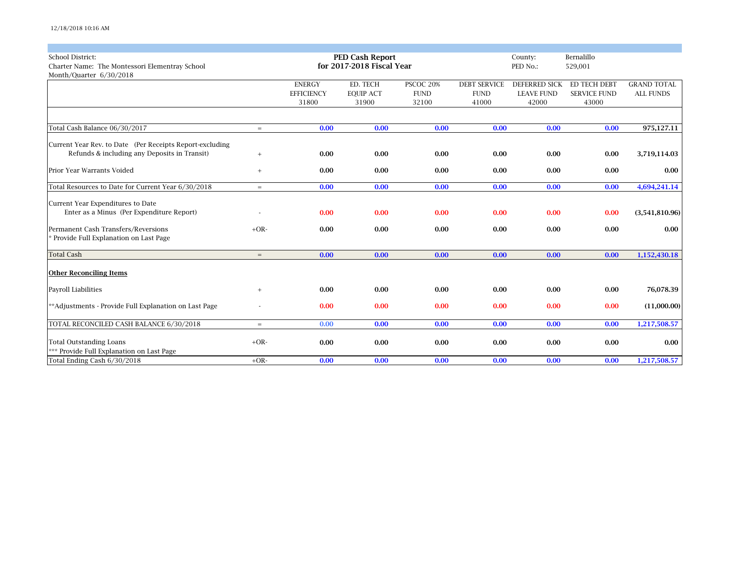| <b>School District:</b>                                  |        |                   | <b>PED Cash Report</b>    |             |                     | Bernalillo<br>County: |                     |                    |
|----------------------------------------------------------|--------|-------------------|---------------------------|-------------|---------------------|-----------------------|---------------------|--------------------|
| Charter Name: The Montessori Elementray School           |        |                   | for 2017-2018 Fiscal Year |             |                     | PED No.:              | 529,001             |                    |
| Month/Quarter 6/30/2018                                  |        |                   |                           |             |                     |                       |                     |                    |
|                                                          |        | <b>ENERGY</b>     | ED. TECH                  | PSCOC 20%   | <b>DEBT SERVICE</b> | <b>DEFERRED SICK</b>  | ED TECH DEBT        | <b>GRAND TOTAL</b> |
|                                                          |        | <b>EFFICIENCY</b> | <b>EQUIP ACT</b>          | <b>FUND</b> | <b>FUND</b>         | <b>LEAVE FUND</b>     | <b>SERVICE FUND</b> | <b>ALL FUNDS</b>   |
|                                                          |        | 31800             | 31900                     | 32100       | 41000               | 42000                 | 43000               |                    |
|                                                          |        |                   |                           |             |                     |                       |                     |                    |
| Total Cash Balance 06/30/2017                            | $=$    | 0.00              | 0.00                      | 0.00        | 0.00                | 0.00                  | 0.00                | 975,127.11         |
| Current Year Rev. to Date (Per Receipts Report-excluding |        |                   |                           |             |                     |                       |                     |                    |
| Refunds & including any Deposits in Transit)             | $^{+}$ | 0.00              | 0.00                      | 0.00        | 0.00                | 0.00                  | 0.00                | 3,719,114.03       |
| Prior Year Warrants Voided                               | $^{+}$ | 0.00              | 0.00                      | 0.00        | 0.00                | 0.00                  | 0.00                | 0.00               |
|                                                          |        |                   |                           |             |                     |                       |                     |                    |
| Total Resources to Date for Current Year 6/30/2018       | $=$    | 0.00              | 0.00                      | 0.00        | 0.00                | 0.00                  | 0.00                | 4,694,241.14       |
| Current Year Expenditures to Date                        |        |                   |                           |             |                     |                       |                     |                    |
| Enter as a Minus (Per Expenditure Report)                |        | 0.00              | 0.00                      | 0.00        | 0.00                | 0.00                  | 0.00                | (3,541,810.96)     |
| Permanent Cash Transfers/Reversions                      | $+OR-$ | 0.00              | 0.00                      | 0.00        | 0.00                | 0.00                  | 0.00                | 0.00               |
| * Provide Full Explanation on Last Page                  |        |                   |                           |             |                     |                       |                     |                    |
| <b>Total Cash</b>                                        | $=$    | 0.00              | 0.00                      | 0.00        | 0.00                | 0.00                  | 0.00                | 1,152,430.18       |
| <b>Other Reconciling Items</b>                           |        |                   |                           |             |                     |                       |                     |                    |
|                                                          |        |                   |                           |             |                     |                       |                     |                    |
| Payroll Liabilities                                      | $^{+}$ | 0.00              | 0.00                      | 0.00        | 0.00                | 0.00                  | 0.00                | 76,078.39          |
| **Adjustments - Provide Full Explanation on Last Page    |        | 0.00              | 0.00                      | 0.00        | 0.00                | 0.00                  | 0.00                | (11,000.00)        |
| TOTAL RECONCILED CASH BALANCE 6/30/2018                  | $=$    | 0.00              | 0.00                      | 0.00        | 0.00                | 0.00                  | 0.00                | 1,217,508.57       |
| <b>Total Outstanding Loans</b>                           | $+OR-$ | 0.00              | 0.00                      | 0.00        | 0.00                | 0.00                  | 0.00                | 0.00               |
| *** Provide Full Explanation on Last Page                |        |                   |                           |             |                     |                       |                     |                    |
| Total Ending Cash 6/30/2018                              | $+OR-$ | 0.00              | 0.00                      | 0.00        | 0.00                | 0.00                  | 0.00                | 1,217,508.57       |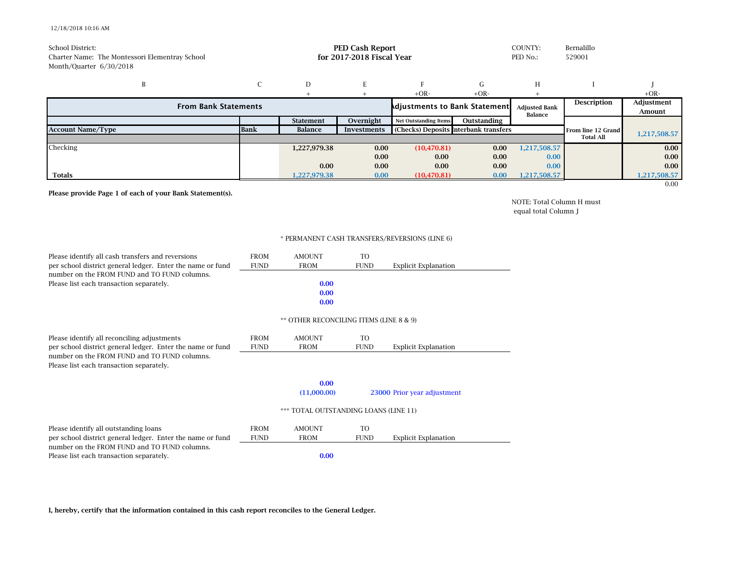## 12/18/2018 10:16 AM

| School District:<br>Charter Name: The Montessori Elementray School<br>Month/Quarter 6/30/2018 |             | <b>PED Cash Report</b><br>Bernalillo<br>COUNTY:<br>for 2017-2018 Fiscal Year<br>PED No.:<br>529001 |                    |                                       |                    |                      |                    |                   |
|-----------------------------------------------------------------------------------------------|-------------|----------------------------------------------------------------------------------------------------|--------------------|---------------------------------------|--------------------|----------------------|--------------------|-------------------|
| B                                                                                             |             | D                                                                                                  |                    |                                       | G.                 | H                    |                    |                   |
|                                                                                               |             |                                                                                                    |                    | $+OR-$                                | $+OR-$             |                      |                    | $+OR-$            |
| <b>From Bank Statements</b><br><b>Adjustments to Bank Statement.</b>                          |             |                                                                                                    |                    | <b>Adjusted Bank</b><br>Balance       | <b>Description</b> | Adjustment<br>Amount |                    |                   |
|                                                                                               |             | <b>Statement</b>                                                                                   | Overnight          | <b>Net Outstanding Items</b>          | Outstanding        |                      |                    |                   |
| <b>Account Name/Type</b>                                                                      | <b>Bank</b> | Balance                                                                                            | <b>Investments</b> | (Checks) Deposits Interbank transfers |                    |                      | From line 12 Grand | 1,217,508.57      |
|                                                                                               |             |                                                                                                    |                    |                                       |                    |                      | <b>Total All</b>   |                   |
| Checking                                                                                      |             | 1,227,979.38                                                                                       | 0.00               | (10, 470.81)                          | 0.00               | 1,217,508.57         |                    | 0.00              |
|                                                                                               |             |                                                                                                    | 0.00               | 0.00                                  | 0.00               | 0.00                 |                    | 0.00 <sub>1</sub> |
|                                                                                               |             | 0.00                                                                                               | 0.00               | 0.00                                  | 0.00               | 0.00                 |                    | 0.00              |
| Totals                                                                                        |             | 1,227,979.38                                                                                       | 0.00               | (10, 470.81)                          | 0.00               | 1,217,508.57         |                    | 1,217,508.57      |
|                                                                                               |             |                                                                                                    |                    |                                       |                    |                      |                    | 0.00              |

Please provide Page 1 of each of your Bank Statement(s).

NOTE: Total Column H must equal total Column J

## \* PERMANENT CASH TRANSFERS/REVERSIONS (LINE 6)

| Please identify all cash transfers and reversions                                        | <b>FROM</b> | <b>AMOUNT</b>                           | T <sub>O</sub> |                             |  |  |  |  |  |
|------------------------------------------------------------------------------------------|-------------|-----------------------------------------|----------------|-----------------------------|--|--|--|--|--|
| per school district general ledger. Enter the name or fund                               | <b>FUND</b> | <b>FROM</b>                             | <b>FUND</b>    | <b>Explicit Explanation</b> |  |  |  |  |  |
| number on the FROM FUND and TO FUND columns.                                             |             |                                         |                |                             |  |  |  |  |  |
| Please list each transaction separately.                                                 |             | 0.00                                    |                |                             |  |  |  |  |  |
|                                                                                          |             | 0.00                                    |                |                             |  |  |  |  |  |
|                                                                                          | 0.00        |                                         |                |                             |  |  |  |  |  |
|                                                                                          |             | ** OTHER RECONCILING ITEMS (LINE 8 & 9) |                |                             |  |  |  |  |  |
| Please identify all reconciling adjustments                                              | <b>FROM</b> | <b>AMOUNT</b>                           | T <sub>O</sub> |                             |  |  |  |  |  |
| per school district general ledger. Enter the name or fund                               | <b>FUND</b> | <b>FROM</b>                             | <b>FUND</b>    | <b>Explicit Explanation</b> |  |  |  |  |  |
| number on the FROM FUND and TO FUND columns.<br>Please list each transaction separately. |             |                                         |                |                             |  |  |  |  |  |
|                                                                                          |             |                                         |                |                             |  |  |  |  |  |
|                                                                                          |             | (11,000.00)                             |                | 23000 Prior year adjustment |  |  |  |  |  |
|                                                                                          |             | *** TOTAL OUTSTANDING LOANS (LINE 11)   |                |                             |  |  |  |  |  |
| Please identify all outstanding loans                                                    | <b>FROM</b> | <b>AMOUNT</b>                           | TO             |                             |  |  |  |  |  |
| per school district general ledger. Enter the name or fund                               | <b>FUND</b> | <b>FROM</b>                             | <b>FUND</b>    | <b>Explicit Explanation</b> |  |  |  |  |  |
| number on the FROM FUND and TO FUND columns.                                             |             |                                         |                |                             |  |  |  |  |  |
| Please list each transaction separately.                                                 |             | 0.00                                    |                |                             |  |  |  |  |  |

I, hereby, certify that the information contained in this cash report reconciles to the General Ledger.